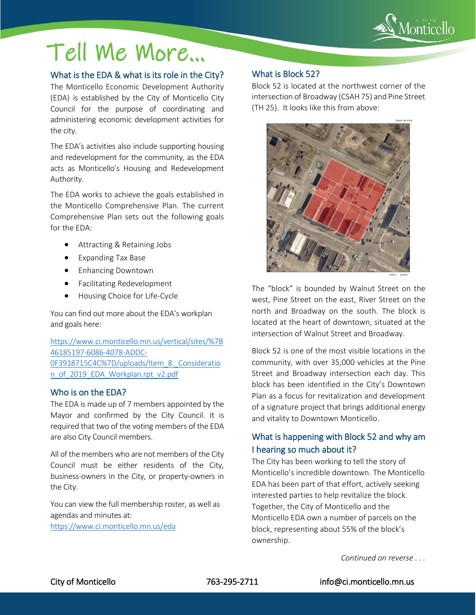

# Tell Me More…

### What is the EDA & what is its role in the City?

The Monticello Economic Development Authority (EDA) is established by the City of Monticello City Council for the purpose of coordinating and administering economic development activities for the city.

The EDA's activities also include supporting housing and redevelopment for the community, as the EDA acts as Monticello's Housing and Redevelopment Authority.

The EDA works to achieve the goals established in the Monticello Comprehensive Plan. The current Comprehensive Plan sets out the following goals for the EDA:

- Attracting & Retaining Jobs
- Expanding Tax Base
- Enhancing Downtown
- Facilitating Redevelopment
- Housing Choice for Life-Cycle

You can find out more about the EDA's workplan and goals here:

[https://www.ci.monticello.mn.us/vertical/sites/%7B](https://www.ci.monticello.mn.us/vertical/sites/%7B46185197-6086-4078-ADDC-0F3918715C4C%7D/uploads/Item_8._Consideration_of_2019_EDA_Workplan.rpt_v2.pdf) [46185197-6086-4078-ADDC-](https://www.ci.monticello.mn.us/vertical/sites/%7B46185197-6086-4078-ADDC-0F3918715C4C%7D/uploads/Item_8._Consideration_of_2019_EDA_Workplan.rpt_v2.pdf)0F3918715C4C%7D/uploads/Item\_8. Consideratio [n\\_of\\_2019\\_EDA\\_Workplan.rpt\\_v2.pdf](https://www.ci.monticello.mn.us/vertical/sites/%7B46185197-6086-4078-ADDC-0F3918715C4C%7D/uploads/Item_8._Consideration_of_2019_EDA_Workplan.rpt_v2.pdf)

#### Who is on the EDA?

The EDA is made up of 7 members appointed by the Mayor and confirmed by the City Council. It is required that two of the voting members of the EDA are also City Council members.

All of the members who are not members of the City Council must be either residents of the City, business-owners in the City, or property-owners in the City.

You can view the full membership roster, as well as agendas and minutes at:

<https://www.ci.monticello.mn.us/eda>

### What is Block 52?

j

Block 52 is located at the northwest corner of the intersection of Broadway (CSAH 75) and Pine Street (TH 25). It looks like this from above:



The "block" is bounded by Walnut Street on the west, Pine Street on the east, River Street on the north and Broadway on the south. The block is located at the heart of downtown, situated at the intersection of Walnut Street and Broadway.

Block 52 is one of the most visible locations in the community, with over 35,000 vehicles at the Pine Street and Broadway intersection each day. This block has been identified in the City's Downtown Plan as a focus for revitalization and development of a signature project that brings additional energy and vitality to Downtown Monticello.

## What is happening with Block 52 and why am I hearing so much about it?

The City has been working to tell the story of Monticello's incredible downtown. The Monticello EDA has been part of that effort, actively seeking interested parties to help revitalize the block. Together, the City of Monticello and the Monticello EDA own a number of parcels on the block, representing about 55% of the block's ownership.

*Continued on reverse . . .*